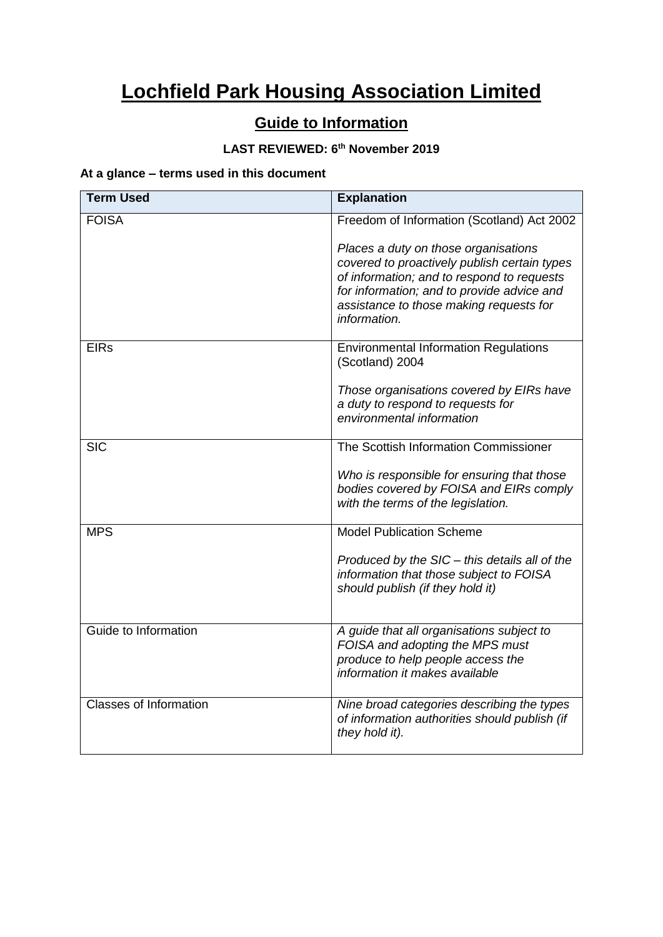# **Lochfield Park Housing Association Limited**

# **Guide to Information**

# **LAST REVIEWED: 6th November 2019**

# **At a glance – terms used in this document**

| <b>Term Used</b>              | <b>Explanation</b>                                                                         |
|-------------------------------|--------------------------------------------------------------------------------------------|
| <b>FOISA</b>                  | Freedom of Information (Scotland) Act 2002                                                 |
|                               | Places a duty on those organisations                                                       |
|                               | covered to proactively publish certain types<br>of information; and to respond to requests |
|                               | for information; and to provide advice and                                                 |
|                               | assistance to those making requests for<br>information.                                    |
| <b>EIRs</b>                   | <b>Environmental Information Regulations</b><br>(Scotland) 2004                            |
|                               | Those organisations covered by EIRs have                                                   |
|                               | a duty to respond to requests for                                                          |
|                               | environmental information                                                                  |
| <b>SIC</b>                    | The Scottish Information Commissioner                                                      |
|                               | Who is responsible for ensuring that those                                                 |
|                               | bodies covered by FOISA and EIRs comply<br>with the terms of the legislation.              |
|                               |                                                                                            |
| <b>MPS</b>                    | <b>Model Publication Scheme</b>                                                            |
|                               | Produced by the SIC - this details all of the                                              |
|                               | information that those subject to FOISA<br>should publish (if they hold it)                |
|                               |                                                                                            |
| Guide to Information          | A guide that all organisations subject to                                                  |
|                               | FOISA and adopting the MPS must<br>produce to help people access the                       |
|                               | information it makes available                                                             |
| <b>Classes of Information</b> | Nine broad categories describing the types                                                 |
|                               | of information authorities should publish (if<br>they hold it).                            |
|                               |                                                                                            |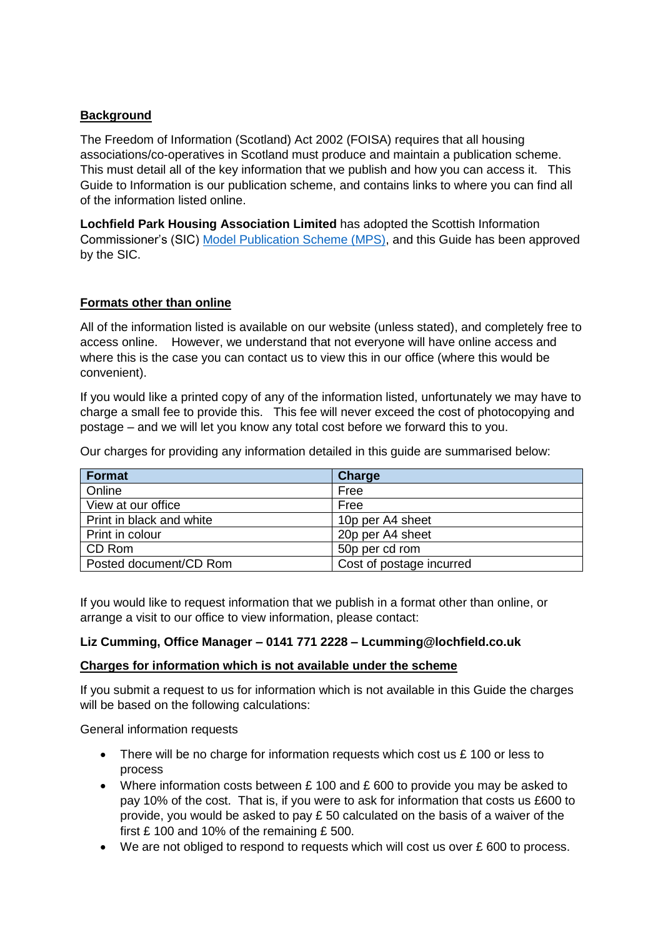# **Background**

The Freedom of Information (Scotland) Act 2002 (FOISA) requires that all housing associations/co-operatives in Scotland must produce and maintain a publication scheme. This must detail all of the key information that we publish and how you can access it. This Guide to Information is our publication scheme, and contains links to where you can find all of the information listed online.

**Lochfield Park Housing Association Limited** has adopted the Scottish Information Commissioner's (SIC) [Model Publication Scheme](http://www.itspublicknowledge.info/ScottishPublicAuthorities/PublicationSchemes/TheModelPublicationScheme.aspx) (MPS), and this Guide has been approved by the SIC.

### **Formats other than online**

All of the information listed is available on our website (unless stated), and completely free to access online. However, we understand that not everyone will have online access and where this is the case you can contact us to view this in our office (where this would be convenient).

If you would like a printed copy of any of the information listed, unfortunately we may have to charge a small fee to provide this. This fee will never exceed the cost of photocopying and postage – and we will let you know any total cost before we forward this to you.

Our charges for providing any information detailed in this guide are summarised below:

| Format                   | <b>Charge</b>            |
|--------------------------|--------------------------|
| Online                   | Free                     |
| View at our office       | Free                     |
| Print in black and white | 10p per A4 sheet         |
| Print in colour          | 20p per A4 sheet         |
| CD Rom                   | 50p per cd rom           |
| Posted document/CD Rom   | Cost of postage incurred |

If you would like to request information that we publish in a format other than online, or arrange a visit to our office to view information, please contact:

#### **Liz Cumming, Office Manager – 0141 771 2228 – Lcumming@lochfield.co.uk**

#### **Charges for information which is not available under the scheme**

If you submit a request to us for information which is not available in this Guide the charges will be based on the following calculations:

General information requests

- There will be no charge for information requests which cost us £ 100 or less to process
- Where information costs between £100 and £600 to provide you may be asked to pay 10% of the cost. That is, if you were to ask for information that costs us £600 to provide, you would be asked to pay  $E$  50 calculated on the basis of a waiver of the first £ 100 and 10% of the remaining £ 500.
- $\bullet$  We are not obliged to respond to requests which will cost us over £600 to process.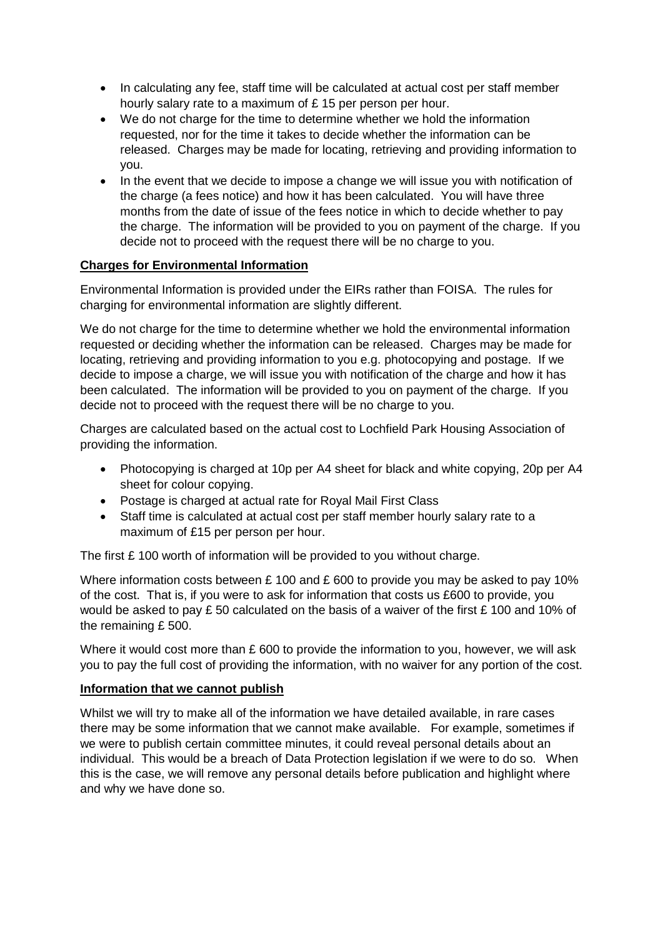- In calculating any fee, staff time will be calculated at actual cost per staff member hourly salary rate to a maximum of £ 15 per person per hour.
- We do not charge for the time to determine whether we hold the information requested, nor for the time it takes to decide whether the information can be released. Charges may be made for locating, retrieving and providing information to you.
- In the event that we decide to impose a change we will issue you with notification of the charge (a fees notice) and how it has been calculated. You will have three months from the date of issue of the fees notice in which to decide whether to pay the charge. The information will be provided to you on payment of the charge. If you decide not to proceed with the request there will be no charge to you.

# **Charges for Environmental Information**

Environmental Information is provided under the EIRs rather than FOISA. The rules for charging for environmental information are slightly different.

We do not charge for the time to determine whether we hold the environmental information requested or deciding whether the information can be released. Charges may be made for locating, retrieving and providing information to you e.g. photocopying and postage. If we decide to impose a charge, we will issue you with notification of the charge and how it has been calculated. The information will be provided to you on payment of the charge. If you decide not to proceed with the request there will be no charge to you.

Charges are calculated based on the actual cost to Lochfield Park Housing Association of providing the information.

- Photocopying is charged at 10p per A4 sheet for black and white copying, 20p per A4 sheet for colour copying.
- Postage is charged at actual rate for Royal Mail First Class
- Staff time is calculated at actual cost per staff member hourly salary rate to a maximum of £15 per person per hour.

The first £ 100 worth of information will be provided to you without charge.

Where information costs between £100 and £600 to provide you may be asked to pay 10% of the cost. That is, if you were to ask for information that costs us £600 to provide, you would be asked to pay £ 50 calculated on the basis of a waiver of the first £ 100 and 10% of the remaining £ 500.

Where it would cost more than  $E$  600 to provide the information to you, however, we will ask you to pay the full cost of providing the information, with no waiver for any portion of the cost.

#### **Information that we cannot publish**

Whilst we will try to make all of the information we have detailed available, in rare cases there may be some information that we cannot make available. For example, sometimes if we were to publish certain committee minutes, it could reveal personal details about an individual. This would be a breach of Data Protection legislation if we were to do so. When this is the case, we will remove any personal details before publication and highlight where and why we have done so.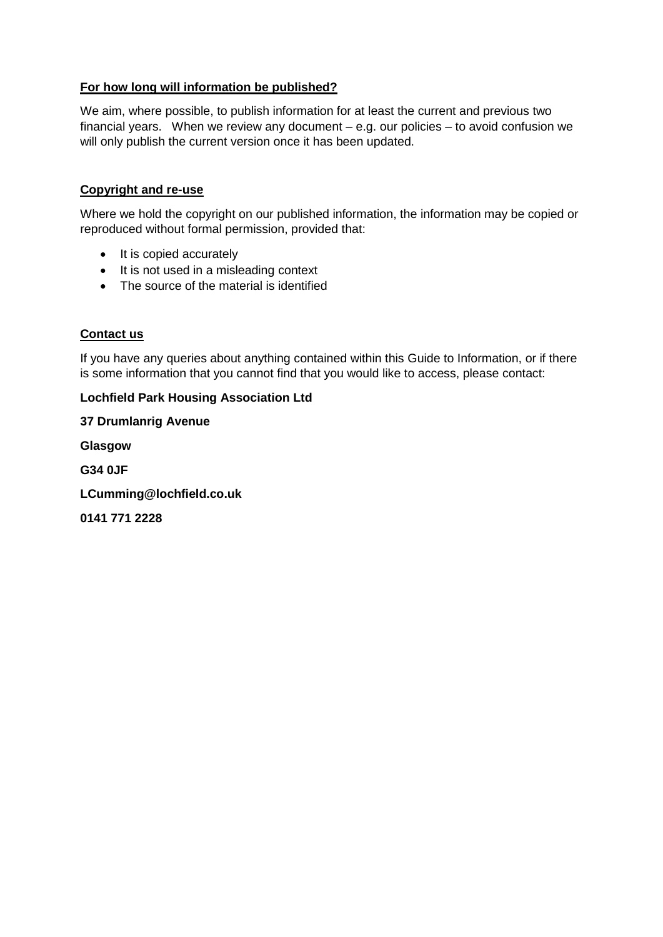# **For how long will information be published?**

We aim, where possible, to publish information for at least the current and previous two financial years. When we review any document – e.g. our policies – to avoid confusion we will only publish the current version once it has been updated.

#### **Copyright and re-use**

Where we hold the copyright on our published information, the information may be copied or reproduced without formal permission, provided that:

- It is copied accurately
- It is not used in a misleading context
- The source of the material is identified

### **Contact us**

If you have any queries about anything contained within this Guide to Information, or if there is some information that you cannot find that you would like to access, please contact:

#### **Lochfield Park Housing Association Ltd**

**37 Drumlanrig Avenue Glasgow G34 0JF LCumming@lochfield.co.uk 0141 771 2228**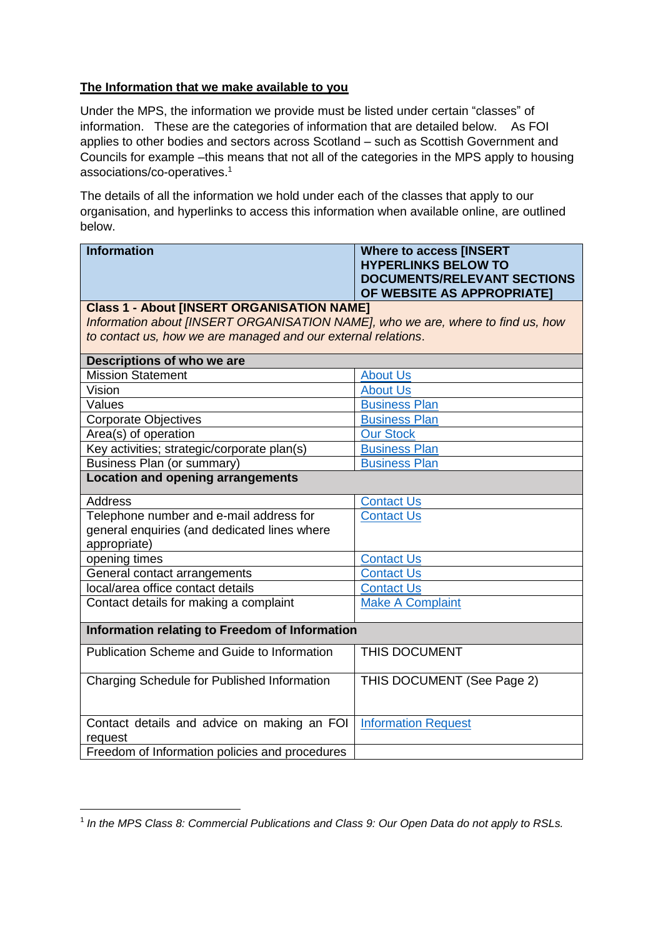# **The Information that we make available to you**

Under the MPS, the information we provide must be listed under certain "classes" of information. These are the categories of information that are detailed below. As FOI applies to other bodies and sectors across Scotland – such as Scottish Government and Councils for example –this means that not all of the categories in the MPS apply to housing associations/co-operatives. 1

The details of all the information we hold under each of the classes that apply to our organisation, and hyperlinks to access this information when available online, are outlined below.

| <b>Information</b>                                                              | <b>Where to access [INSERT</b>     |
|---------------------------------------------------------------------------------|------------------------------------|
|                                                                                 | <b>HYPERLINKS BELOW TO</b>         |
|                                                                                 | <b>DOCUMENTS/RELEVANT SECTIONS</b> |
|                                                                                 | OF WEBSITE AS APPROPRIATE]         |
| <b>Class 1 - About [INSERT ORGANISATION NAME]</b>                               |                                    |
| Information about [INSERT ORGANISATION NAME], who we are, where to find us, how |                                    |
| to contact us, how we are managed and our external relations.                   |                                    |
| Descriptions of who we are                                                      |                                    |
| <b>Mission Statement</b>                                                        | <b>About Us</b>                    |
| Vision                                                                          | <b>About Us</b>                    |
| Values                                                                          | <b>Business Plan</b>               |
| <b>Corporate Objectives</b>                                                     | <b>Business Plan</b>               |
| Area(s) of operation                                                            | <b>Our Stock</b>                   |
| Key activities; strategic/corporate plan(s)                                     | <b>Business Plan</b>               |
| Business Plan (or summary)                                                      | <b>Business Plan</b>               |
| <b>Location and opening arrangements</b>                                        |                                    |
| <b>Address</b>                                                                  | <b>Contact Us</b>                  |
| Telephone number and e-mail address for                                         | <b>Contact Us</b>                  |
| general enquiries (and dedicated lines where                                    |                                    |
| appropriate)                                                                    |                                    |
| opening times                                                                   | <b>Contact Us</b>                  |
| General contact arrangements                                                    | <b>Contact Us</b>                  |
| local/area office contact details                                               | <b>Contact Us</b>                  |
| Contact details for making a complaint                                          | <b>Make A Complaint</b>            |
| Information relating to Freedom of Information                                  |                                    |
| <b>Publication Scheme and Guide to Information</b>                              | THIS DOCUMENT                      |
|                                                                                 |                                    |
| Charging Schedule for Published Information                                     | THIS DOCUMENT (See Page 2)         |
|                                                                                 |                                    |
|                                                                                 |                                    |
| Contact details and advice on making an FOI                                     | <b>Information Request</b>         |
| request                                                                         |                                    |
| Freedom of Information policies and procedures                                  |                                    |

1

<sup>&</sup>lt;sup>1</sup> In the MPS Class 8: Commercial Publications and Class 9: Our Open Data do not apply to RSLs.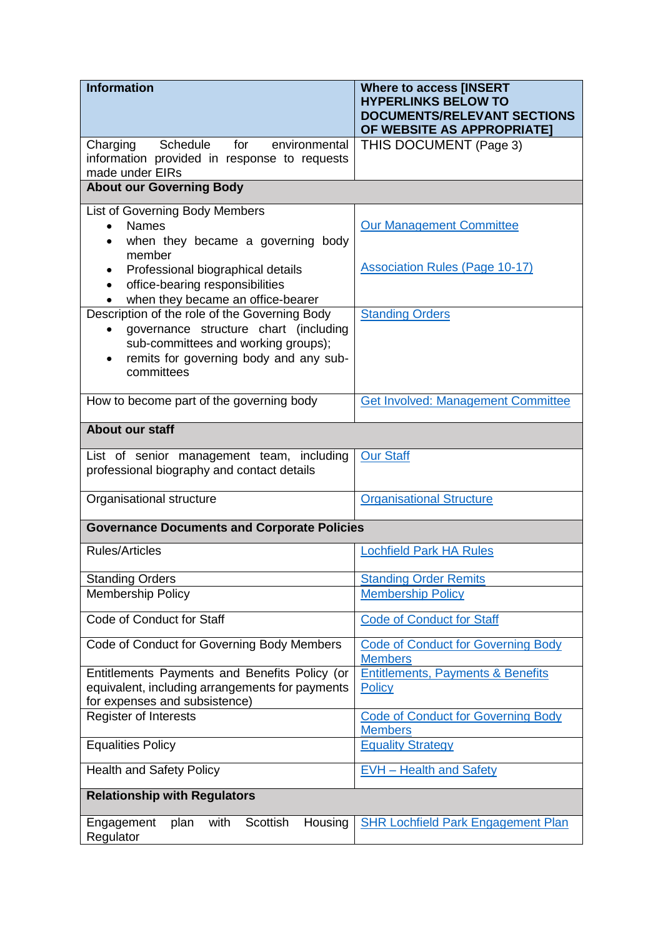| <b>Information</b>                                                                                  | <b>Where to access [INSERT</b><br><b>HYPERLINKS BELOW TO</b>     |
|-----------------------------------------------------------------------------------------------------|------------------------------------------------------------------|
|                                                                                                     | <b>DOCUMENTS/RELEVANT SECTIONS</b><br>OF WEBSITE AS APPROPRIATE] |
| Schedule<br>Charging<br>for<br>environmental                                                        | THIS DOCUMENT (Page 3)                                           |
| information provided in response to requests<br>made under EIRs                                     |                                                                  |
| <b>About our Governing Body</b>                                                                     |                                                                  |
| <b>List of Governing Body Members</b>                                                               |                                                                  |
| <b>Names</b><br>$\bullet$<br>when they became a governing body                                      | <b>Our Management Committee</b>                                  |
| member                                                                                              | <b>Association Rules (Page 10-17)</b>                            |
| Professional biographical details<br>office-bearing responsibilities                                |                                                                  |
| when they became an office-bearer                                                                   |                                                                  |
| Description of the role of the Governing Body<br>governance structure chart (including<br>$\bullet$ | <b>Standing Orders</b>                                           |
| sub-committees and working groups);<br>remits for governing body and any sub-                       |                                                                  |
| committees                                                                                          |                                                                  |
| How to become part of the governing body                                                            | <b>Get Involved: Management Committee</b>                        |
| <b>About our staff</b>                                                                              |                                                                  |
| List of senior management team, including<br>professional biography and contact details             | <b>Our Staff</b>                                                 |
| Organisational structure                                                                            | <b>Organisational Structure</b>                                  |
| <b>Governance Documents and Corporate Policies</b>                                                  |                                                                  |
| <b>Rules/Articles</b>                                                                               | <b>Lochfield Park HA Rules</b>                                   |
|                                                                                                     |                                                                  |
| <b>Standing Orders</b>                                                                              | <b>Standing Order Remits</b>                                     |
| <b>Membership Policy</b>                                                                            | <b>Membership Policy</b>                                         |
| Code of Conduct for Staff                                                                           | <b>Code of Conduct for Staff</b>                                 |
| Code of Conduct for Governing Body Members                                                          | <b>Code of Conduct for Governing Body</b><br><b>Members</b>      |
| Entitlements Payments and Benefits Policy (or                                                       | <b>Entitlements, Payments &amp; Benefits</b>                     |
| equivalent, including arrangements for payments                                                     | Policy                                                           |
| for expenses and subsistence)                                                                       |                                                                  |
| <b>Register of Interests</b>                                                                        | <b>Code of Conduct for Governing Body</b><br><b>Members</b>      |
| <b>Equalities Policy</b>                                                                            | <b>Equality Strategy</b>                                         |
| <b>Health and Safety Policy</b>                                                                     | <b>EVH - Health and Safety</b>                                   |
| <b>Relationship with Regulators</b>                                                                 |                                                                  |
| with<br>Scottish<br>Engagement<br>Housing<br>plan<br>Regulator                                      | <b>SHR Lochfield Park Engagement Plan</b>                        |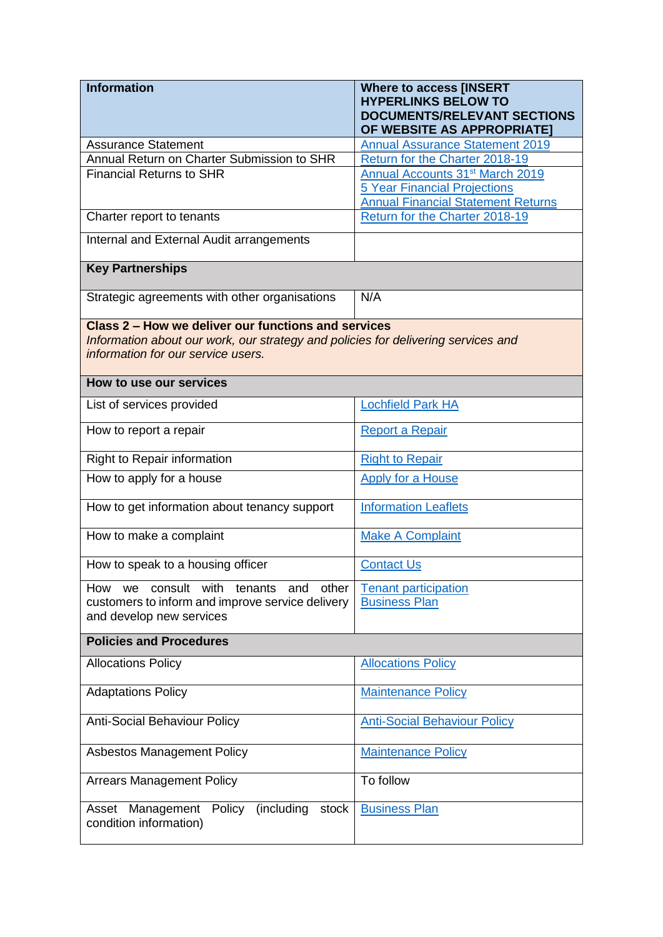| <b>Information</b>                                                                | <b>Where to access [INSERT</b>                                              |
|-----------------------------------------------------------------------------------|-----------------------------------------------------------------------------|
|                                                                                   | <b>HYPERLINKS BELOW TO</b><br><b>DOCUMENTS/RELEVANT SECTIONS</b>            |
|                                                                                   | OF WEBSITE AS APPROPRIATE]                                                  |
| <b>Assurance Statement</b>                                                        | <b>Annual Assurance Statement 2019</b>                                      |
| Annual Return on Charter Submission to SHR                                        | Return for the Charter 2018-19                                              |
| <b>Financial Returns to SHR</b>                                                   | Annual Accounts 31 <sup>st</sup> March 2019                                 |
|                                                                                   | <b>5 Year Financial Projections</b>                                         |
| Charter report to tenants                                                         | <b>Annual Financial Statement Returns</b><br>Return for the Charter 2018-19 |
| Internal and External Audit arrangements                                          |                                                                             |
| <b>Key Partnerships</b>                                                           |                                                                             |
| Strategic agreements with other organisations                                     | N/A                                                                         |
| Class 2 – How we deliver our functions and services                               |                                                                             |
| Information about our work, our strategy and policies for delivering services and |                                                                             |
| information for our service users.                                                |                                                                             |
| How to use our services                                                           |                                                                             |
| List of services provided                                                         | <b>Lochfield Park HA</b>                                                    |
| How to report a repair                                                            | Report a Repair                                                             |
| Right to Repair information                                                       | <b>Right to Repair</b>                                                      |
| How to apply for a house                                                          | <b>Apply for a House</b>                                                    |
| How to get information about tenancy support                                      | <b>Information Leaflets</b>                                                 |
| How to make a complaint                                                           | <b>Make A Complaint</b>                                                     |
| How to speak to a housing officer                                                 | <b>Contact Us</b>                                                           |
| consult with<br>other<br>How<br>tenants and<br>we                                 | <b>Tenant participation</b>                                                 |
| customers to inform and improve service delivery                                  | <b>Business Plan</b>                                                        |
| and develop new services                                                          |                                                                             |
| <b>Policies and Procedures</b>                                                    |                                                                             |
| <b>Allocations Policy</b>                                                         | <b>Allocations Policy</b>                                                   |
| <b>Adaptations Policy</b>                                                         | <b>Maintenance Policy</b>                                                   |
| <b>Anti-Social Behaviour Policy</b>                                               | <b>Anti-Social Behaviour Policy</b>                                         |
| <b>Asbestos Management Policy</b>                                                 | <b>Maintenance Policy</b>                                                   |
| <b>Arrears Management Policy</b>                                                  | To follow                                                                   |
| (including<br>Asset Management<br>Policy<br>stock<br>condition information)       | <b>Business Plan</b>                                                        |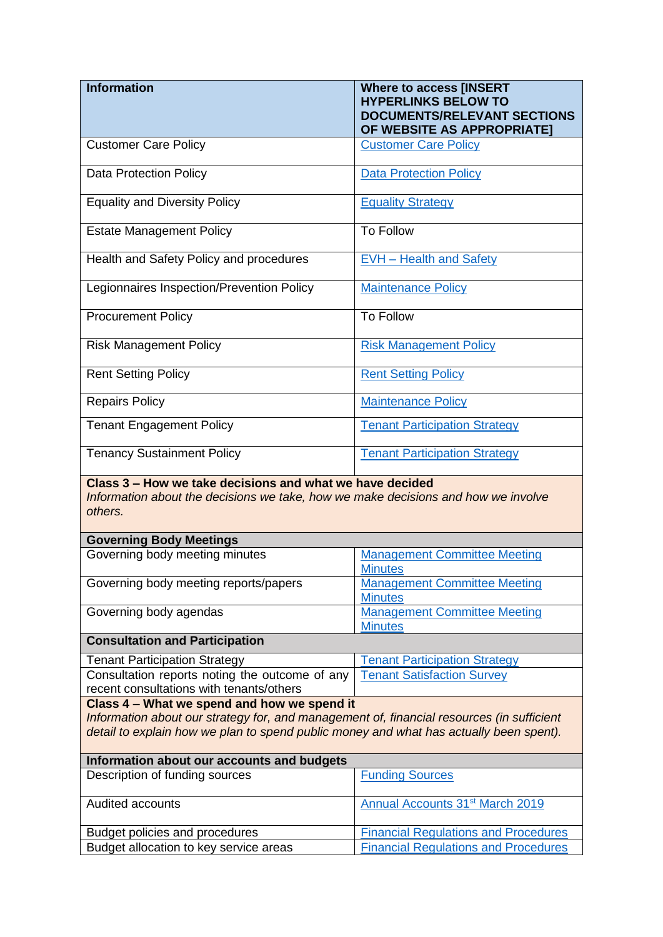| <b>Information</b>                                                                                                                                                                  | <b>Where to access [INSERT</b><br><b>HYPERLINKS BELOW TO</b><br><b>DOCUMENTS/RELEVANT SECTIONS</b><br>OF WEBSITE AS APPROPRIATE] |
|-------------------------------------------------------------------------------------------------------------------------------------------------------------------------------------|----------------------------------------------------------------------------------------------------------------------------------|
| <b>Customer Care Policy</b>                                                                                                                                                         | <b>Customer Care Policy</b>                                                                                                      |
| <b>Data Protection Policy</b>                                                                                                                                                       | <b>Data Protection Policy</b>                                                                                                    |
| <b>Equality and Diversity Policy</b>                                                                                                                                                | <b>Equality Strategy</b>                                                                                                         |
| <b>Estate Management Policy</b>                                                                                                                                                     | <b>To Follow</b>                                                                                                                 |
| Health and Safety Policy and procedures                                                                                                                                             | <b>EVH</b> - Health and Safety                                                                                                   |
| Legionnaires Inspection/Prevention Policy                                                                                                                                           | <b>Maintenance Policy</b>                                                                                                        |
| <b>Procurement Policy</b>                                                                                                                                                           | <b>To Follow</b>                                                                                                                 |
| <b>Risk Management Policy</b>                                                                                                                                                       | <b>Risk Management Policy</b>                                                                                                    |
| <b>Rent Setting Policy</b>                                                                                                                                                          | <b>Rent Setting Policy</b>                                                                                                       |
| <b>Repairs Policy</b>                                                                                                                                                               | Maintenance Policy                                                                                                               |
| <b>Tenant Engagement Policy</b>                                                                                                                                                     | <b>Tenant Participation Strategy</b>                                                                                             |
| <b>Tenancy Sustainment Policy</b>                                                                                                                                                   | <b>Tenant Participation Strategy</b>                                                                                             |
| Class 3 – How we take decisions and what we have decided<br>Information about the decisions we take, how we make decisions and how we involve<br>others.                            |                                                                                                                                  |
| <b>Governing Body Meetings</b>                                                                                                                                                      |                                                                                                                                  |
| Governing body meeting minutes                                                                                                                                                      | <b>Management Committee Meeting</b><br><b>Minutes</b>                                                                            |
| Governing body meeting reports/papers                                                                                                                                               | <b>Management Committee Meeting</b><br><b>Minutes</b>                                                                            |
| Governing body agendas                                                                                                                                                              | <b>Management Committee Meeting</b><br><b>Minutes</b>                                                                            |
| <b>Consultation and Participation</b>                                                                                                                                               |                                                                                                                                  |
| <b>Tenant Participation Strategy</b>                                                                                                                                                | <b>Tenant Participation Strategy</b>                                                                                             |
| Consultation reports noting the outcome of any                                                                                                                                      | <b>Tenant Satisfaction Survey</b>                                                                                                |
| recent consultations with tenants/others                                                                                                                                            |                                                                                                                                  |
| Class 4 - What we spend and how we spend it                                                                                                                                         |                                                                                                                                  |
| Information about our strategy for, and management of, financial resources (in sufficient<br>detail to explain how we plan to spend public money and what has actually been spent). |                                                                                                                                  |
| Information about our accounts and budgets                                                                                                                                          |                                                                                                                                  |
| Description of funding sources                                                                                                                                                      | <b>Funding Sources</b>                                                                                                           |
| Audited accounts                                                                                                                                                                    | Annual Accounts 31 <sup>st</sup> March 2019                                                                                      |
| Budget policies and procedures                                                                                                                                                      | <b>Financial Regulations and Procedures</b>                                                                                      |
| Budget allocation to key service areas                                                                                                                                              | <b>Financial Regulations and Procedures</b>                                                                                      |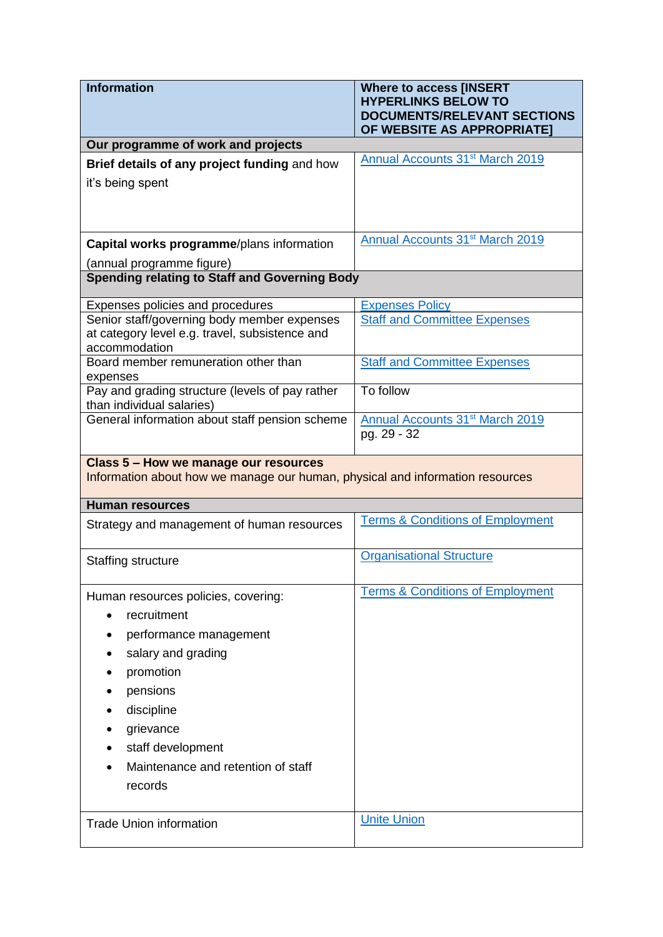| <b>Information</b>                                                                                                     | <b>Where to access [INSERT</b><br><b>HYPERLINKS BELOW TO</b><br><b>DOCUMENTS/RELEVANT SECTIONS</b><br>OF WEBSITE AS APPROPRIATE] |
|------------------------------------------------------------------------------------------------------------------------|----------------------------------------------------------------------------------------------------------------------------------|
| Our programme of work and projects                                                                                     |                                                                                                                                  |
| Brief details of any project funding and how                                                                           | Annual Accounts 31 <sup>st</sup> March 2019                                                                                      |
| it's being spent                                                                                                       |                                                                                                                                  |
|                                                                                                                        |                                                                                                                                  |
| Capital works programme/plans information                                                                              | <b>Annual Accounts 31st March 2019</b>                                                                                           |
| (annual programme figure)<br><b>Spending relating to Staff and Governing Body</b>                                      |                                                                                                                                  |
|                                                                                                                        |                                                                                                                                  |
| Expenses policies and procedures                                                                                       | <b>Expenses Policy</b>                                                                                                           |
| Senior staff/governing body member expenses                                                                            | <b>Staff and Committee Expenses</b>                                                                                              |
| at category level e.g. travel, subsistence and<br>accommodation                                                        |                                                                                                                                  |
| Board member remuneration other than<br>expenses                                                                       | <b>Staff and Committee Expenses</b>                                                                                              |
| Pay and grading structure (levels of pay rather                                                                        | To follow                                                                                                                        |
| than individual salaries)                                                                                              |                                                                                                                                  |
| General information about staff pension scheme                                                                         | <b>Annual Accounts 31st March 2019</b><br>pg. 29 - 32                                                                            |
|                                                                                                                        |                                                                                                                                  |
| Class 5 - How we manage our resources<br>Information about how we manage our human, physical and information resources |                                                                                                                                  |
| <b>Human resources</b>                                                                                                 |                                                                                                                                  |
|                                                                                                                        |                                                                                                                                  |
| Strategy and management of human resources                                                                             | <b>Terms &amp; Conditions of Employment</b>                                                                                      |
| Staffing structure                                                                                                     | <b>Organisational Structure</b>                                                                                                  |
| Human resources policies, covering:                                                                                    | <b>Terms &amp; Conditions of Employment</b>                                                                                      |
| recruitment                                                                                                            |                                                                                                                                  |
| performance management                                                                                                 |                                                                                                                                  |
| salary and grading                                                                                                     |                                                                                                                                  |
| promotion                                                                                                              |                                                                                                                                  |
|                                                                                                                        |                                                                                                                                  |
| pensions<br>discipline                                                                                                 |                                                                                                                                  |
| grievance                                                                                                              |                                                                                                                                  |
|                                                                                                                        |                                                                                                                                  |
| staff development<br>Maintenance and retention of staff                                                                |                                                                                                                                  |
| records                                                                                                                |                                                                                                                                  |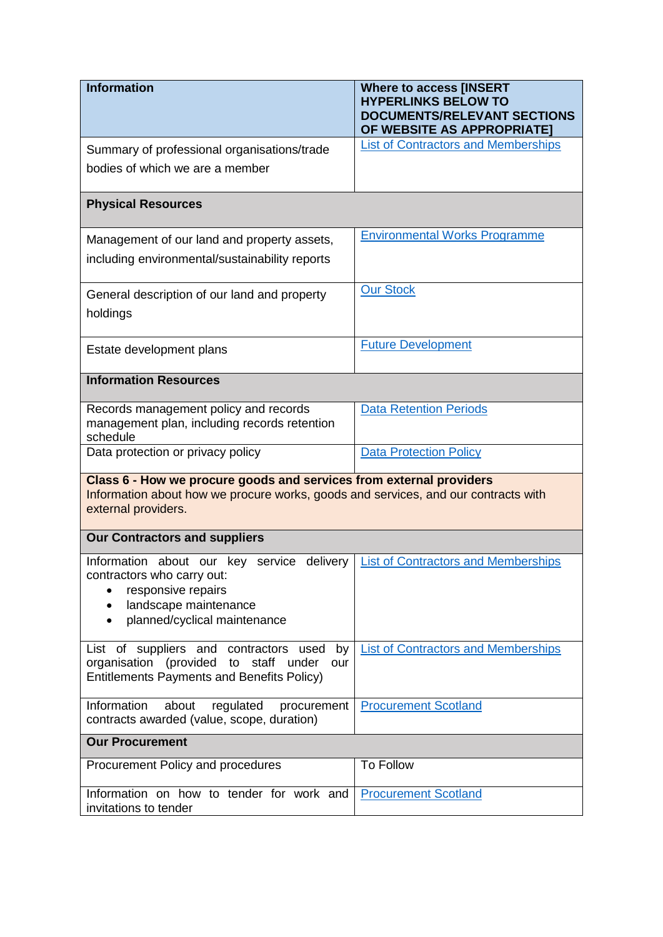| <b>Information</b>                                                                                                                                                               | <b>Where to access [INSERT</b><br><b>HYPERLINKS BELOW TO</b>     |
|----------------------------------------------------------------------------------------------------------------------------------------------------------------------------------|------------------------------------------------------------------|
|                                                                                                                                                                                  | <b>DOCUMENTS/RELEVANT SECTIONS</b><br>OF WEBSITE AS APPROPRIATE] |
| Summary of professional organisations/trade                                                                                                                                      | <b>List of Contractors and Memberships</b>                       |
| bodies of which we are a member                                                                                                                                                  |                                                                  |
| <b>Physical Resources</b>                                                                                                                                                        |                                                                  |
| Management of our land and property assets,                                                                                                                                      | <b>Environmental Works Programme</b>                             |
| including environmental/sustainability reports                                                                                                                                   |                                                                  |
| General description of our land and property<br>holdings                                                                                                                         | <b>Our Stock</b>                                                 |
| Estate development plans                                                                                                                                                         | <b>Future Development</b>                                        |
| <b>Information Resources</b>                                                                                                                                                     |                                                                  |
| Records management policy and records<br>management plan, including records retention<br>schedule                                                                                | <b>Data Retention Periods</b>                                    |
| Data protection or privacy policy                                                                                                                                                | <b>Data Protection Policy</b>                                    |
| Class 6 - How we procure goods and services from external providers<br>Information about how we procure works, goods and services, and our contracts with<br>external providers. |                                                                  |
| <b>Our Contractors and suppliers</b>                                                                                                                                             |                                                                  |
| Information about our key service<br>delivery<br>contractors who carry out:<br>responsive repairs<br>٠<br>landscape maintenance<br>planned/cyclical maintenance                  | <b>List of Contractors and Memberships</b>                       |
| List of suppliers and contractors used<br>by<br>organisation (provided to staff under<br>our<br><b>Entitlements Payments and Benefits Policy)</b>                                | <b>List of Contractors and Memberships</b>                       |
| Information<br>about<br>regulated<br>procurement<br>contracts awarded (value, scope, duration)                                                                                   | <b>Procurement Scotland</b>                                      |
| <b>Our Procurement</b>                                                                                                                                                           |                                                                  |
| Procurement Policy and procedures                                                                                                                                                | <b>To Follow</b>                                                 |
| Information on how to tender for work and<br>invitations to tender                                                                                                               | <b>Procurement Scotland</b>                                      |